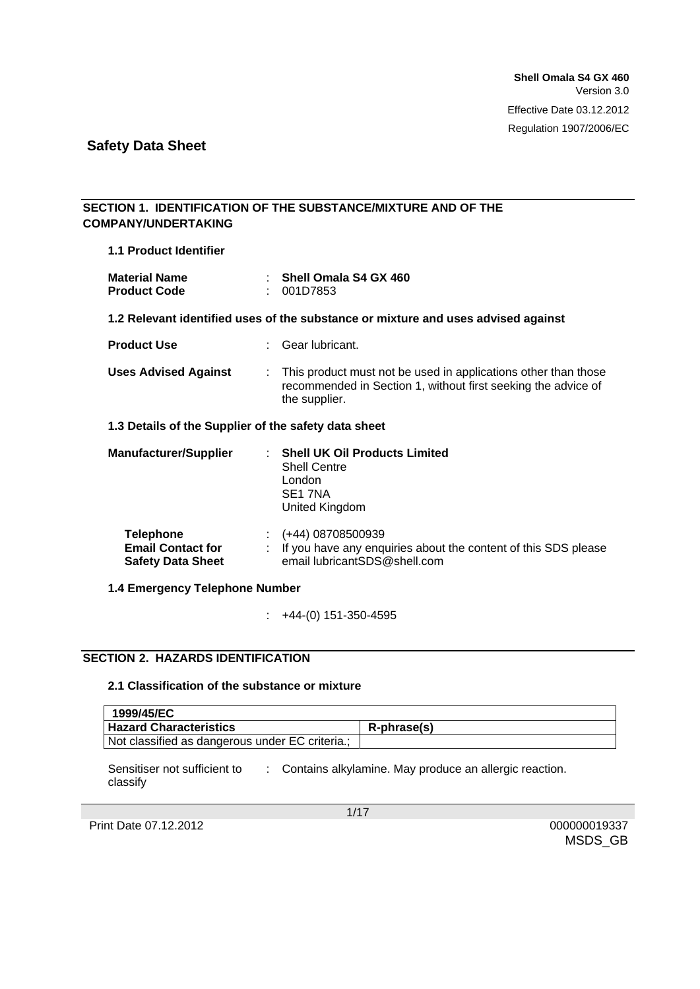#### **SECTION 1. IDENTIFICATION OF THE SUBSTANCE/MIXTURE AND OF THE COMPANY/UNDERTAKING**

**1.1 Product Identifier** 

| <b>Material Name</b> | $\therefore$ Shell Omala S4 GX 460 |
|----------------------|------------------------------------|
| <b>Product Code</b>  | : 001D7853                         |

#### **1.2 Relevant identified uses of the substance or mixture and uses advised against**

| <b>Product Use</b>          | Gear lubricant.                                                                                                                                    |
|-----------------------------|----------------------------------------------------------------------------------------------------------------------------------------------------|
| <b>Uses Advised Against</b> | : This product must not be used in applications other than those<br>recommended in Section 1, without first seeking the advice of<br>the supplier. |

#### **1.3 Details of the Supplier of the safety data sheet**

| <b>Manufacturer/Supplier</b>                                             |    | <b>Shell UK Oil Products Limited</b><br><b>Shell Centre</b><br>London<br>SE <sub>1</sub> 7NA<br>United Kingdom      |
|--------------------------------------------------------------------------|----|---------------------------------------------------------------------------------------------------------------------|
| <b>Telephone</b><br><b>Email Contact for</b><br><b>Safety Data Sheet</b> | ÷. | (+44) 08708500939<br>If you have any enquiries about the content of this SDS please<br>email lubricantSDS@shell.com |

#### **1.4 Emergency Telephone Number**

:  $+44-(0)$  151-350-4595

#### **SECTION 2. HAZARDS IDENTIFICATION**

#### **2.1 Classification of the substance or mixture**

| 1999/45/EC                                      |             |
|-------------------------------------------------|-------------|
| <b>Hazard Characteristics</b>                   | R-phrase(s) |
| Not classified as dangerous under EC criteria.; |             |

Sensitiser not sufficient to : Contains alkylamine. May produce an allergic reaction. classify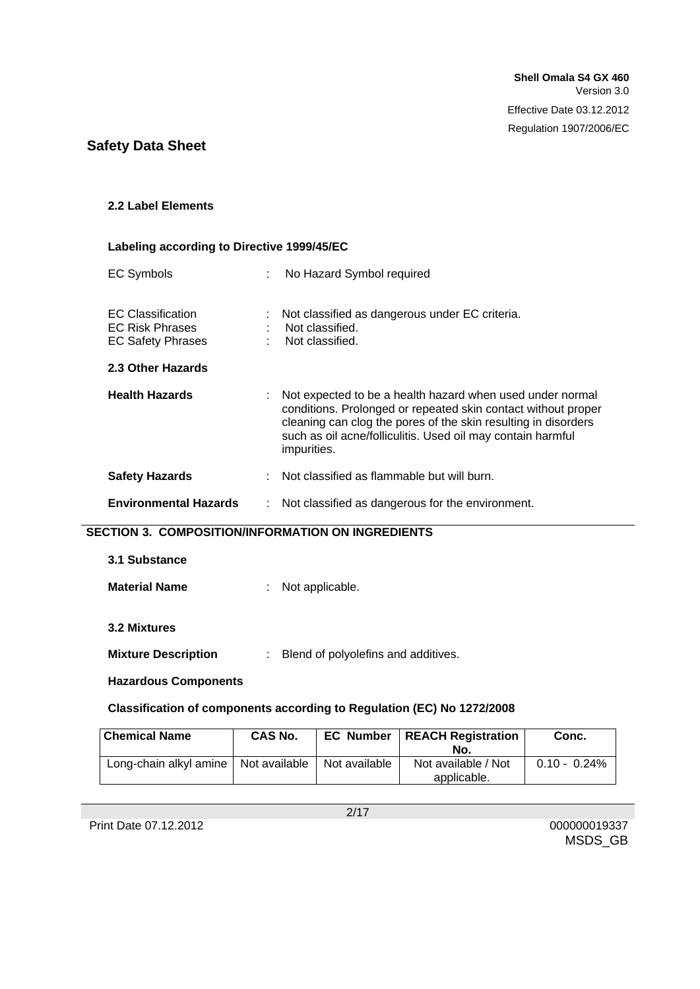#### **2.2 Label Elements**

#### **Labeling according to Directive 1999/45/EC**

| <b>EC Symbols</b>                                                              | No Hazard Symbol required                                                                                                                                                                                                                                                  |
|--------------------------------------------------------------------------------|----------------------------------------------------------------------------------------------------------------------------------------------------------------------------------------------------------------------------------------------------------------------------|
| <b>EC Classification</b><br><b>EC Risk Phrases</b><br><b>EC Safety Phrases</b> | Not classified as dangerous under EC criteria.<br>Not classified.<br>Not classified.                                                                                                                                                                                       |
| 2.3 Other Hazards                                                              |                                                                                                                                                                                                                                                                            |
| <b>Health Hazards</b>                                                          | Not expected to be a health hazard when used under normal<br>conditions. Prolonged or repeated skin contact without proper<br>cleaning can clog the pores of the skin resulting in disorders<br>such as oil acne/folliculitis. Used oil may contain harmful<br>impurities. |
| <b>Safety Hazards</b>                                                          | Not classified as flammable but will burn.                                                                                                                                                                                                                                 |
| <b>Environmental Hazards</b>                                                   | Not classified as dangerous for the environment.                                                                                                                                                                                                                           |

#### **SECTION 3. COMPOSITION/INFORMATION ON INGREDIENTS**

| 3.1 Substance        |                   |
|----------------------|-------------------|
| <b>Material Name</b> | : Not applicable. |
| 3.2 Mixtures         |                   |

| <b>Mixture Description</b> |  | Blend of polyolefins and additives. |
|----------------------------|--|-------------------------------------|
|----------------------------|--|-------------------------------------|

#### **Hazardous Components**

#### **Classification of components according to Regulation (EC) No 1272/2008**

| Chemical Name                                          | <b>CAS No.</b> | <b>EC Number   REACH Registration  </b> | Conc.           |
|--------------------------------------------------------|----------------|-----------------------------------------|-----------------|
|                                                        |                | No.                                     |                 |
| Long-chain alkyl amine   Not available   Not available |                | Not available / Not                     | $0.10 - 0.24\%$ |
|                                                        |                | applicable.                             |                 |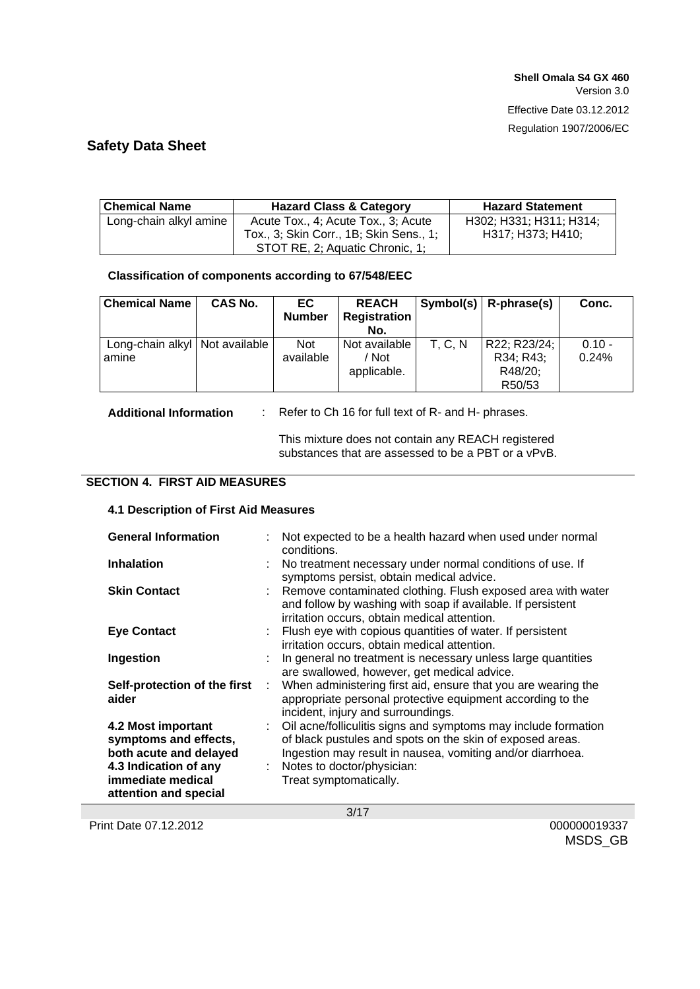| <b>Chemical Name</b>   | <b>Hazard Class &amp; Category</b>      | <b>Hazard Statement</b> |
|------------------------|-----------------------------------------|-------------------------|
| Long-chain alkyl amine | Acute Tox., 4; Acute Tox., 3; Acute     | H302: H331: H311: H314: |
|                        | Tox., 3; Skin Corr., 1B; Skin Sens., 1; | H317; H373; H410;       |
|                        | STOT RE, 2; Aquatic Chronic, 1;         |                         |

#### **Classification of components according to 67/548/EEC**

| <b>Chemical Name</b>                    | CAS No. | EC.<br><b>Number</b>    | <b>REACH</b><br><b>Registration</b><br>No. |         | Symbol(s) $\vert$ R-phrase(s)        | Conc.             |
|-----------------------------------------|---------|-------------------------|--------------------------------------------|---------|--------------------------------------|-------------------|
| Long-chain alkyl Not available<br>amine |         | <b>Not</b><br>available | Not available<br>/ Not<br>applicable.      | T. C. N | R22; R23/24;<br>R34; R43;<br>R48/20; | $0.10 -$<br>0.24% |
|                                         |         |                         |                                            |         | R50/53                               |                   |

**Additional Information** : Refer to Ch 16 for full text of R- and H- phrases.

This mixture does not contain any REACH registered substances that are assessed to be a PBT or a vPvB.

## **SECTION 4. FIRST AID MEASURES**

#### **4.1 Description of First Aid Measures**

| <b>General Information</b>                                                                                                                   |    | Not expected to be a health hazard when used under normal<br>conditions.                                                                                                                                                                              |
|----------------------------------------------------------------------------------------------------------------------------------------------|----|-------------------------------------------------------------------------------------------------------------------------------------------------------------------------------------------------------------------------------------------------------|
| <b>Inhalation</b>                                                                                                                            |    | No treatment necessary under normal conditions of use. If<br>symptoms persist, obtain medical advice.                                                                                                                                                 |
| <b>Skin Contact</b>                                                                                                                          |    | Remove contaminated clothing. Flush exposed area with water<br>and follow by washing with soap if available. If persistent<br>irritation occurs, obtain medical attention.                                                                            |
| <b>Eye Contact</b>                                                                                                                           |    | Flush eye with copious quantities of water. If persistent<br>irritation occurs, obtain medical attention.                                                                                                                                             |
| Ingestion                                                                                                                                    |    | In general no treatment is necessary unless large quantities<br>are swallowed, however, get medical advice.                                                                                                                                           |
| Self-protection of the first<br>aider                                                                                                        | ÷. | When administering first aid, ensure that you are wearing the<br>appropriate personal protective equipment according to the<br>incident, injury and surroundings.                                                                                     |
| 4.2 Most important<br>symptoms and effects,<br>both acute and delayed<br>4.3 Indication of any<br>immediate medical<br>attention and special |    | : Oil acne/folliculitis signs and symptoms may include formation<br>of black pustules and spots on the skin of exposed areas.<br>Ingestion may result in nausea, vomiting and/or diarrhoea.<br>: Notes to doctor/physician:<br>Treat symptomatically. |

3/17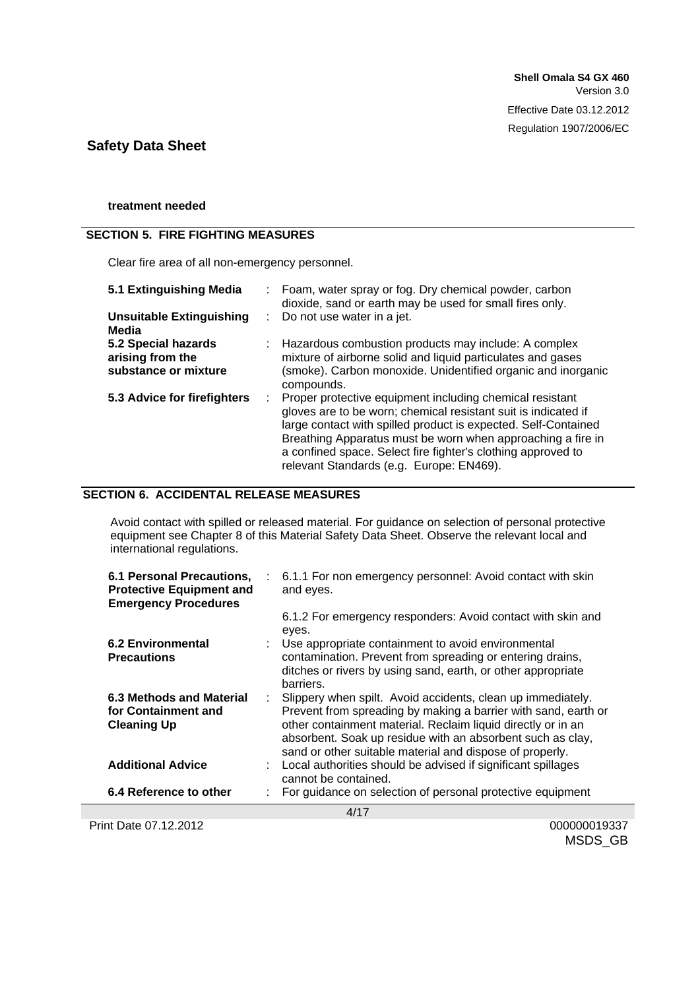**treatment needed**

#### **SECTION 5. FIRE FIGHTING MEASURES**

Clear fire area of all non-emergency personnel.

| 5.1 Extinguishing Media                                         |    | : Foam, water spray or fog. Dry chemical powder, carbon<br>dioxide, sand or earth may be used for small fires only.                                                                                                                                                                                                                                                     |
|-----------------------------------------------------------------|----|-------------------------------------------------------------------------------------------------------------------------------------------------------------------------------------------------------------------------------------------------------------------------------------------------------------------------------------------------------------------------|
| <b>Unsuitable Extinguishing</b><br>Media                        |    | : Do not use water in a jet.                                                                                                                                                                                                                                                                                                                                            |
| 5.2 Special hazards<br>arising from the<br>substance or mixture | ÷. | Hazardous combustion products may include: A complex<br>mixture of airborne solid and liquid particulates and gases<br>(smoke). Carbon monoxide. Unidentified organic and inorganic<br>compounds.                                                                                                                                                                       |
| 5.3 Advice for firefighters                                     |    | Proper protective equipment including chemical resistant<br>gloves are to be worn; chemical resistant suit is indicated if<br>large contact with spilled product is expected. Self-Contained<br>Breathing Apparatus must be worn when approaching a fire in<br>a confined space. Select fire fighter's clothing approved to<br>relevant Standards (e.g. Europe: EN469). |

#### **SECTION 6. ACCIDENTAL RELEASE MEASURES**

Avoid contact with spilled or released material. For guidance on selection of personal protective equipment see Chapter 8 of this Material Safety Data Sheet. Observe the relevant local and international regulations.

| 6.1 Personal Precautions,<br><b>Protective Equipment and</b><br><b>Emergency Procedures</b> |   | 6.1.1 For non emergency personnel: Avoid contact with skin<br>and eyes.                                                                                                                                                                                                                                                 |
|---------------------------------------------------------------------------------------------|---|-------------------------------------------------------------------------------------------------------------------------------------------------------------------------------------------------------------------------------------------------------------------------------------------------------------------------|
|                                                                                             |   | 6.1.2 For emergency responders: Avoid contact with skin and<br>eyes.                                                                                                                                                                                                                                                    |
| <b>6.2 Environmental</b><br><b>Precautions</b>                                              |   | Use appropriate containment to avoid environmental<br>contamination. Prevent from spreading or entering drains,<br>ditches or rivers by using sand, earth, or other appropriate<br>barriers.                                                                                                                            |
| 6.3 Methods and Material<br>for Containment and<br><b>Cleaning Up</b>                       | ÷ | Slippery when spilt. Avoid accidents, clean up immediately.<br>Prevent from spreading by making a barrier with sand, earth or<br>other containment material. Reclaim liquid directly or in an<br>absorbent. Soak up residue with an absorbent such as clay,<br>sand or other suitable material and dispose of properly. |
| <b>Additional Advice</b>                                                                    |   | Local authorities should be advised if significant spillages<br>cannot be contained.                                                                                                                                                                                                                                    |
| 6.4 Reference to other                                                                      |   | For guidance on selection of personal protective equipment                                                                                                                                                                                                                                                              |
|                                                                                             |   | 4/17                                                                                                                                                                                                                                                                                                                    |

Print Date 07.12.2012 000000019337

MSDS\_GB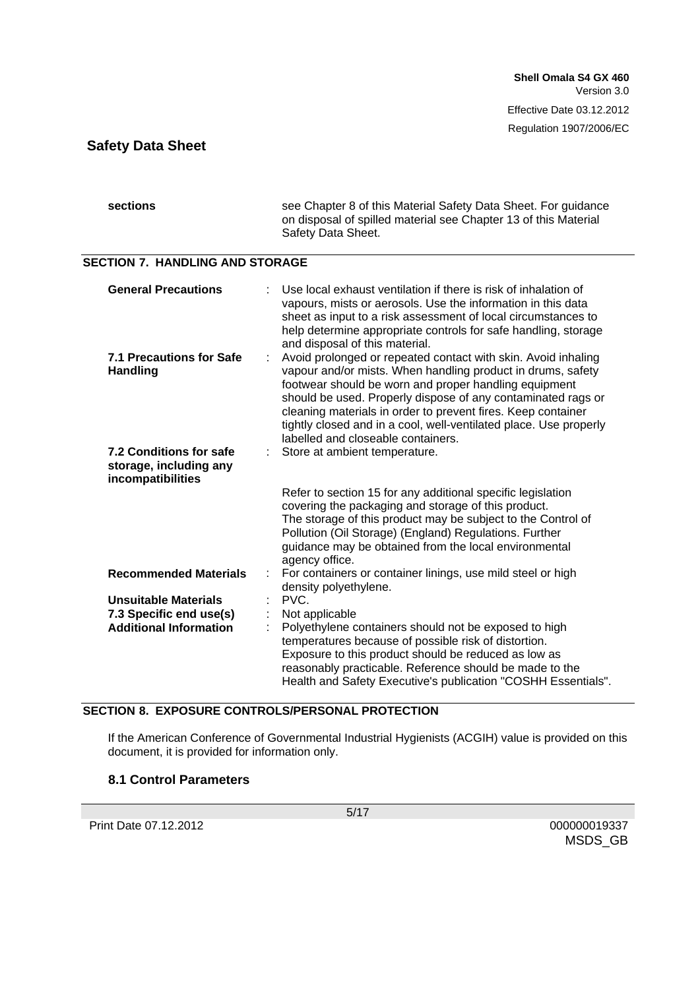| sections | see Chapter 8 of this Material Safety Data Sheet. For guidance<br>on disposal of spilled material see Chapter 13 of this Material |
|----------|-----------------------------------------------------------------------------------------------------------------------------------|
|          | Safety Data Sheet.                                                                                                                |

#### **SECTION 7. HANDLING AND STORAGE**

| <b>General Precautions</b>                                             |   | Use local exhaust ventilation if there is risk of inhalation of<br>vapours, mists or aerosols. Use the information in this data<br>sheet as input to a risk assessment of local circumstances to<br>help determine appropriate controls for safe handling, storage<br>and disposal of this material.                                                                                                                             |
|------------------------------------------------------------------------|---|----------------------------------------------------------------------------------------------------------------------------------------------------------------------------------------------------------------------------------------------------------------------------------------------------------------------------------------------------------------------------------------------------------------------------------|
| 7.1 Precautions for Safe<br><b>Handling</b>                            |   | Avoid prolonged or repeated contact with skin. Avoid inhaling<br>vapour and/or mists. When handling product in drums, safety<br>footwear should be worn and proper handling equipment<br>should be used. Properly dispose of any contaminated rags or<br>cleaning materials in order to prevent fires. Keep container<br>tightly closed and in a cool, well-ventilated place. Use properly<br>labelled and closeable containers. |
| 7.2 Conditions for safe<br>storage, including any<br>incompatibilities |   | Store at ambient temperature.                                                                                                                                                                                                                                                                                                                                                                                                    |
|                                                                        |   | Refer to section 15 for any additional specific legislation<br>covering the packaging and storage of this product.<br>The storage of this product may be subject to the Control of<br>Pollution (Oil Storage) (England) Regulations. Further<br>guidance may be obtained from the local environmental<br>agency office.                                                                                                          |
| <b>Recommended Materials</b>                                           | ÷ | For containers or container linings, use mild steel or high<br>density polyethylene.                                                                                                                                                                                                                                                                                                                                             |
| <b>Unsuitable Materials</b>                                            |   | PVC.                                                                                                                                                                                                                                                                                                                                                                                                                             |
| 7.3 Specific end use(s)                                                |   | Not applicable                                                                                                                                                                                                                                                                                                                                                                                                                   |
| <b>Additional Information</b>                                          |   | Polyethylene containers should not be exposed to high<br>temperatures because of possible risk of distortion.<br>Exposure to this product should be reduced as low as<br>reasonably practicable. Reference should be made to the<br>Health and Safety Executive's publication "COSHH Essentials".                                                                                                                                |

#### **SECTION 8. EXPOSURE CONTROLS/PERSONAL PROTECTION**

If the American Conference of Governmental Industrial Hygienists (ACGIH) value is provided on this document, it is provided for information only.

#### **8.1 Control Parameters**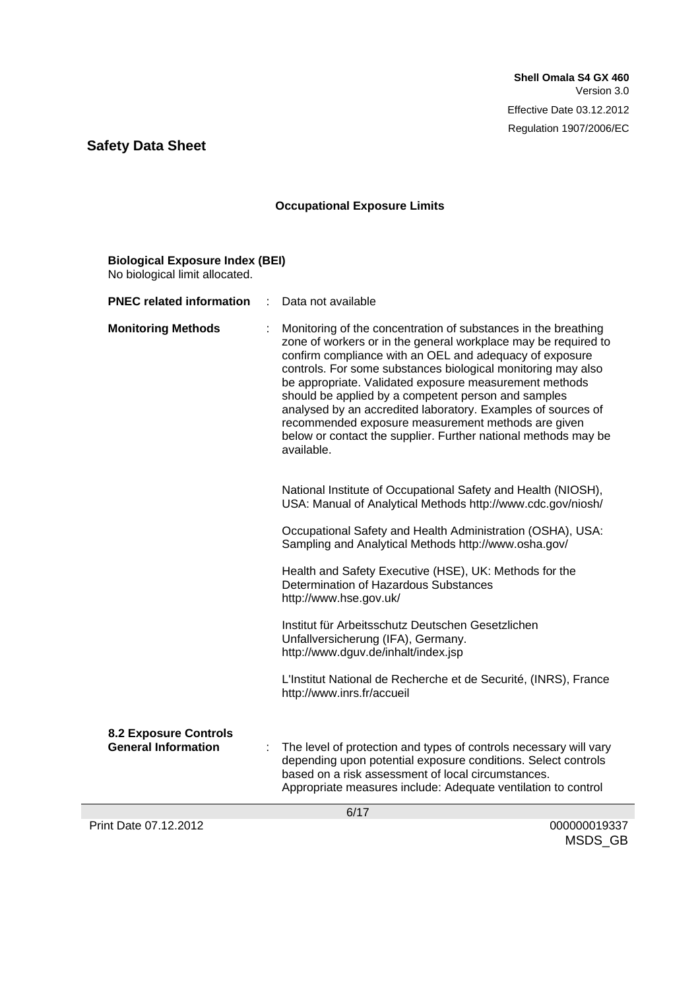# **Occupational Exposure Limits**

| <b>Biological Exposure Index (BEI)</b><br>No biological limit allocated. |   |                                                                                                                                                                                                                                                                                                                                                                                                                                                                                                                                                                                    |  |
|--------------------------------------------------------------------------|---|------------------------------------------------------------------------------------------------------------------------------------------------------------------------------------------------------------------------------------------------------------------------------------------------------------------------------------------------------------------------------------------------------------------------------------------------------------------------------------------------------------------------------------------------------------------------------------|--|
| <b>PNEC related information</b>                                          |   | Data not available                                                                                                                                                                                                                                                                                                                                                                                                                                                                                                                                                                 |  |
| <b>Monitoring Methods</b>                                                |   | Monitoring of the concentration of substances in the breathing<br>zone of workers or in the general workplace may be required to<br>confirm compliance with an OEL and adequacy of exposure<br>controls. For some substances biological monitoring may also<br>be appropriate. Validated exposure measurement methods<br>should be applied by a competent person and samples<br>analysed by an accredited laboratory. Examples of sources of<br>recommended exposure measurement methods are given<br>below or contact the supplier. Further national methods may be<br>available. |  |
|                                                                          |   | National Institute of Occupational Safety and Health (NIOSH),<br>USA: Manual of Analytical Methods http://www.cdc.gov/niosh/                                                                                                                                                                                                                                                                                                                                                                                                                                                       |  |
|                                                                          |   | Occupational Safety and Health Administration (OSHA), USA:<br>Sampling and Analytical Methods http://www.osha.gov/                                                                                                                                                                                                                                                                                                                                                                                                                                                                 |  |
|                                                                          |   | Health and Safety Executive (HSE), UK: Methods for the<br>Determination of Hazardous Substances<br>http://www.hse.gov.uk/                                                                                                                                                                                                                                                                                                                                                                                                                                                          |  |
|                                                                          |   | Institut für Arbeitsschutz Deutschen Gesetzlichen<br>Unfallversicherung (IFA), Germany.<br>http://www.dguv.de/inhalt/index.jsp                                                                                                                                                                                                                                                                                                                                                                                                                                                     |  |
|                                                                          |   | L'Institut National de Recherche et de Securité, (INRS), France<br>http://www.inrs.fr/accueil                                                                                                                                                                                                                                                                                                                                                                                                                                                                                      |  |
| <b>8.2 Exposure Controls</b><br><b>General Information</b>               | ÷ | The level of protection and types of controls necessary will vary<br>depending upon potential exposure conditions. Select controls<br>based on a risk assessment of local circumstances.<br>Appropriate measures include: Adequate ventilation to control                                                                                                                                                                                                                                                                                                                          |  |
| 6/17                                                                     |   |                                                                                                                                                                                                                                                                                                                                                                                                                                                                                                                                                                                    |  |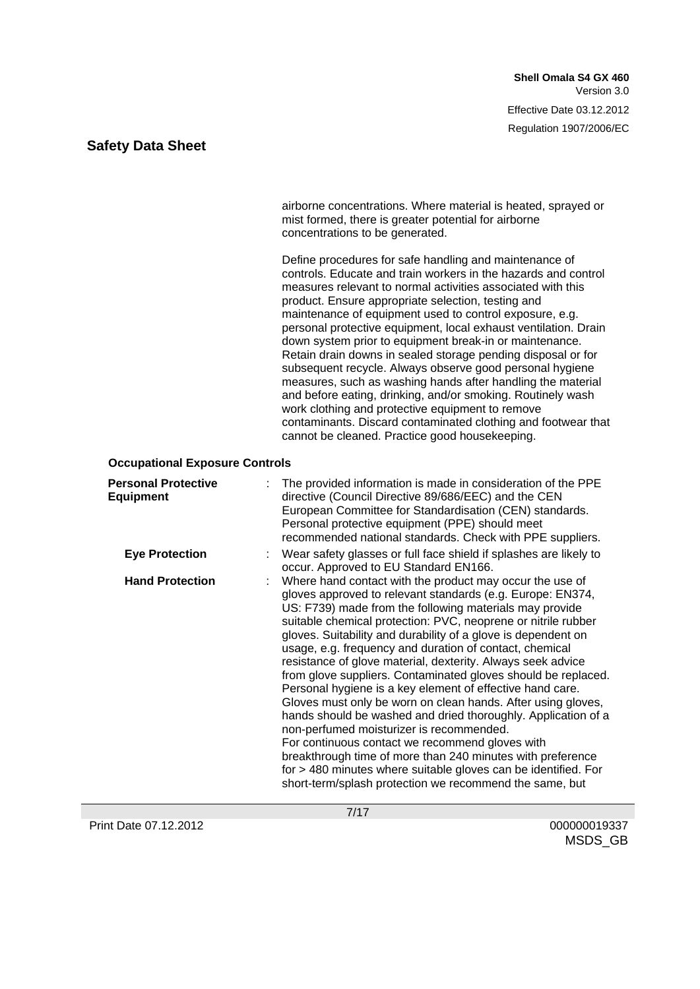airborne concentrations. Where material is heated, sprayed or mist formed, there is greater potential for airborne concentrations to be generated.

 Define procedures for safe handling and maintenance of controls. Educate and train workers in the hazards and control measures relevant to normal activities associated with this product. Ensure appropriate selection, testing and maintenance of equipment used to control exposure, e.g. personal protective equipment, local exhaust ventilation. Drain down system prior to equipment break-in or maintenance. Retain drain downs in sealed storage pending disposal or for subsequent recycle. Always observe good personal hygiene measures, such as washing hands after handling the material and before eating, drinking, and/or smoking. Routinely wash work clothing and protective equipment to remove contaminants. Discard contaminated clothing and footwear that cannot be cleaned. Practice good housekeeping.

#### **Occupational Exposure Controls**

| <b>Personal Protective</b><br><b>Equipment</b> | The provided information is made in consideration of the PPE<br>directive (Council Directive 89/686/EEC) and the CEN<br>European Committee for Standardisation (CEN) standards.<br>Personal protective equipment (PPE) should meet<br>recommended national standards. Check with PPE suppliers.                                                                                                                                                                                                                                                                                                                                                                                                                                                                                                                                                                                                                                                                                                        |
|------------------------------------------------|--------------------------------------------------------------------------------------------------------------------------------------------------------------------------------------------------------------------------------------------------------------------------------------------------------------------------------------------------------------------------------------------------------------------------------------------------------------------------------------------------------------------------------------------------------------------------------------------------------------------------------------------------------------------------------------------------------------------------------------------------------------------------------------------------------------------------------------------------------------------------------------------------------------------------------------------------------------------------------------------------------|
| <b>Eye Protection</b>                          | Wear safety glasses or full face shield if splashes are likely to<br>occur. Approved to EU Standard EN166.                                                                                                                                                                                                                                                                                                                                                                                                                                                                                                                                                                                                                                                                                                                                                                                                                                                                                             |
| <b>Hand Protection</b>                         | Where hand contact with the product may occur the use of<br>gloves approved to relevant standards (e.g. Europe: EN374,<br>US: F739) made from the following materials may provide<br>suitable chemical protection: PVC, neoprene or nitrile rubber<br>gloves. Suitability and durability of a glove is dependent on<br>usage, e.g. frequency and duration of contact, chemical<br>resistance of glove material, dexterity. Always seek advice<br>from glove suppliers. Contaminated gloves should be replaced.<br>Personal hygiene is a key element of effective hand care.<br>Gloves must only be worn on clean hands. After using gloves,<br>hands should be washed and dried thoroughly. Application of a<br>non-perfumed moisturizer is recommended.<br>For continuous contact we recommend gloves with<br>breakthrough time of more than 240 minutes with preference<br>for > 480 minutes where suitable gloves can be identified. For<br>short-term/splash protection we recommend the same, but |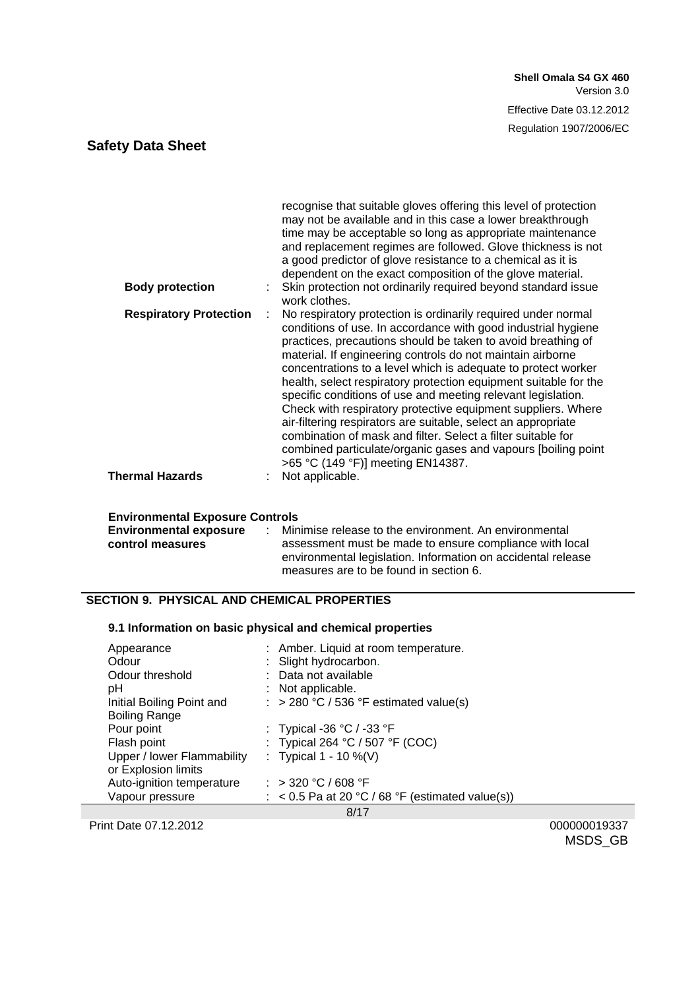|                               | recognise that suitable gloves offering this level of protection<br>may not be available and in this case a lower breakthrough<br>time may be acceptable so long as appropriate maintenance<br>and replacement regimes are followed. Glove thickness is not<br>a good predictor of glove resistance to a chemical as it is<br>dependent on the exact composition of the glove material.                                                                                                                                                                                                                                                                                                                                                                                       |
|-------------------------------|-------------------------------------------------------------------------------------------------------------------------------------------------------------------------------------------------------------------------------------------------------------------------------------------------------------------------------------------------------------------------------------------------------------------------------------------------------------------------------------------------------------------------------------------------------------------------------------------------------------------------------------------------------------------------------------------------------------------------------------------------------------------------------|
| <b>Body protection</b>        | Skin protection not ordinarily required beyond standard issue<br>work clothes.                                                                                                                                                                                                                                                                                                                                                                                                                                                                                                                                                                                                                                                                                                |
| <b>Respiratory Protection</b> | No respiratory protection is ordinarily required under normal<br>÷<br>conditions of use. In accordance with good industrial hygiene<br>practices, precautions should be taken to avoid breathing of<br>material. If engineering controls do not maintain airborne<br>concentrations to a level which is adequate to protect worker<br>health, select respiratory protection equipment suitable for the<br>specific conditions of use and meeting relevant legislation.<br>Check with respiratory protective equipment suppliers. Where<br>air-filtering respirators are suitable, select an appropriate<br>combination of mask and filter. Select a filter suitable for<br>combined particulate/organic gases and vapours (boiling point<br>>65 °C (149 °F)] meeting EN14387. |
| <b>Thermal Hazards</b>        | Not applicable.                                                                                                                                                                                                                                                                                                                                                                                                                                                                                                                                                                                                                                                                                                                                                               |
|                               |                                                                                                                                                                                                                                                                                                                                                                                                                                                                                                                                                                                                                                                                                                                                                                               |

## **Environmental Exposure Controls**

| <b>Environmental exposure</b> | Minimise release to the environment. An environmental        |
|-------------------------------|--------------------------------------------------------------|
| control measures              | assessment must be made to ensure compliance with local      |
|                               | environmental legislation. Information on accidental release |
|                               | measures are to be found in section 6.                       |

# **SECTION 9. PHYSICAL AND CHEMICAL PROPERTIES**

#### **9.1 Information on basic physical and chemical properties**

| Appearance<br>Odour        | : Amber. Liquid at room temperature.<br>: Slight hydrocarbon. |
|----------------------------|---------------------------------------------------------------|
| Odour threshold            | : Data not available                                          |
| pН                         | : Not applicable.                                             |
| Initial Boiling Point and  | : > 280 °C / 536 °F estimated value(s)                        |
| <b>Boiling Range</b>       |                                                               |
| Pour point                 | : Typical -36 °C / -33 °F                                     |
| Flash point                | : Typical 264 °C / 507 °F (COC)                               |
| Upper / lower Flammability | : Typical $1 - 10 \%$ (V)                                     |
| or Explosion limits        |                                                               |
| Auto-ignition temperature  | : > 320 °C / 608 °F                                           |
| Vapour pressure            | $\therefore$ < 0.5 Pa at 20 °C / 68 °F (estimated value(s))   |
|                            | 8/17                                                          |

Print Date 07.12.2012 000000019337

MSDS\_GB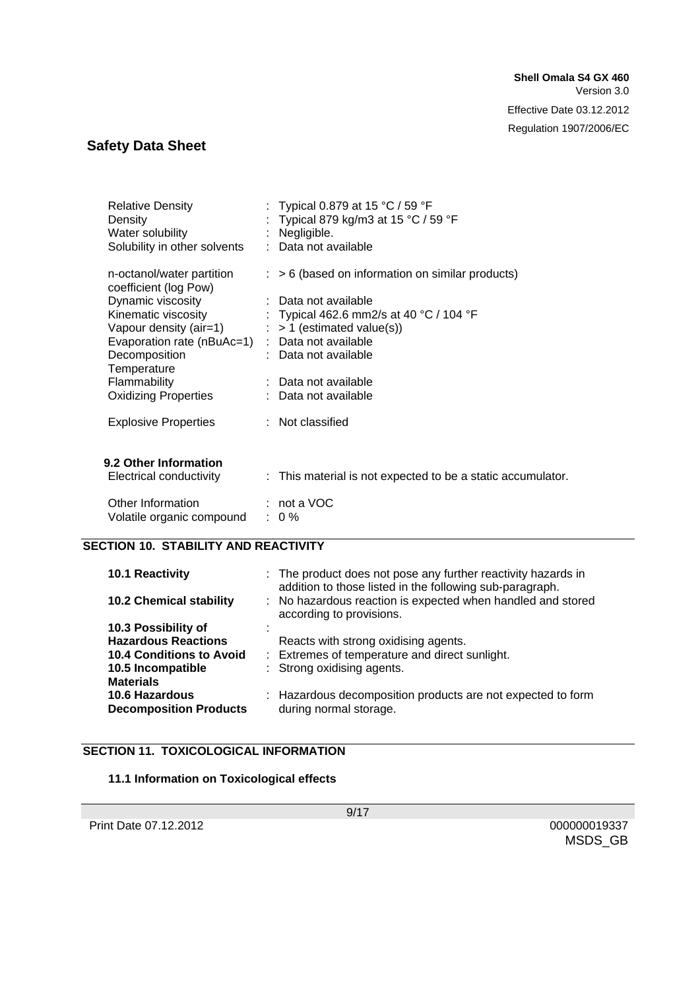| <b>Relative Density</b><br>Density<br>Water solubility<br>Solubility in other solvents                                                                                                                                                                                                           | : Typical 0.879 at 15 °C / 59 °F<br>: Typical 879 kg/m3 at 15 °C / 59 °F<br>: Negligible.<br>: Data not available                                                                                      |
|--------------------------------------------------------------------------------------------------------------------------------------------------------------------------------------------------------------------------------------------------------------------------------------------------|--------------------------------------------------------------------------------------------------------------------------------------------------------------------------------------------------------|
| n-octanol/water partition<br>coefficient (log Pow)<br>Dynamic viscosity<br>Kinematic viscosity<br>Vapour density (air=1) $\therefore$ > 1 (estimated value(s))<br>Evaporation rate (nBuAc=1) : Data not available<br>Decomposition<br>Temperature<br>Flammability<br><b>Oxidizing Properties</b> | $\therefore$ > 6 (based on information on similar products)<br>: Data not available<br>: Typical 462.6 mm2/s at 40 °C / 104 °F<br>: Data not available<br>: Data not available<br>: Data not available |
| <b>Explosive Properties</b>                                                                                                                                                                                                                                                                      | : Not classified                                                                                                                                                                                       |
| 9.2 Other Information<br>Electrical conductivity<br>Other Information<br>Volatile organic compound                                                                                                                                                                                               | : This material is not expected to be a static accumulator.<br>: not a VOC<br>$: 0 \%$                                                                                                                 |

# **SECTION 10. STABILITY AND REACTIVITY**

| <b>10.1 Reactivity</b>          | : The product does not pose any further reactivity hazards in<br>addition to those listed in the following sub-paragraph. |
|---------------------------------|---------------------------------------------------------------------------------------------------------------------------|
| <b>10.2 Chemical stability</b>  | : No hazardous reaction is expected when handled and stored<br>according to provisions.                                   |
| 10.3 Possibility of             |                                                                                                                           |
| <b>Hazardous Reactions</b>      | Reacts with strong oxidising agents.                                                                                      |
| <b>10.4 Conditions to Avoid</b> | : Extremes of temperature and direct sunlight.                                                                            |
| 10.5 Incompatible               | : Strong oxidising agents.                                                                                                |
| <b>Materials</b>                |                                                                                                                           |
| 10.6 Hazardous                  | : Hazardous decomposition products are not expected to form                                                               |
| <b>Decomposition Products</b>   | during normal storage.                                                                                                    |

## **SECTION 11. TOXICOLOGICAL INFORMATION**

## **11.1 Information on Toxicological effects**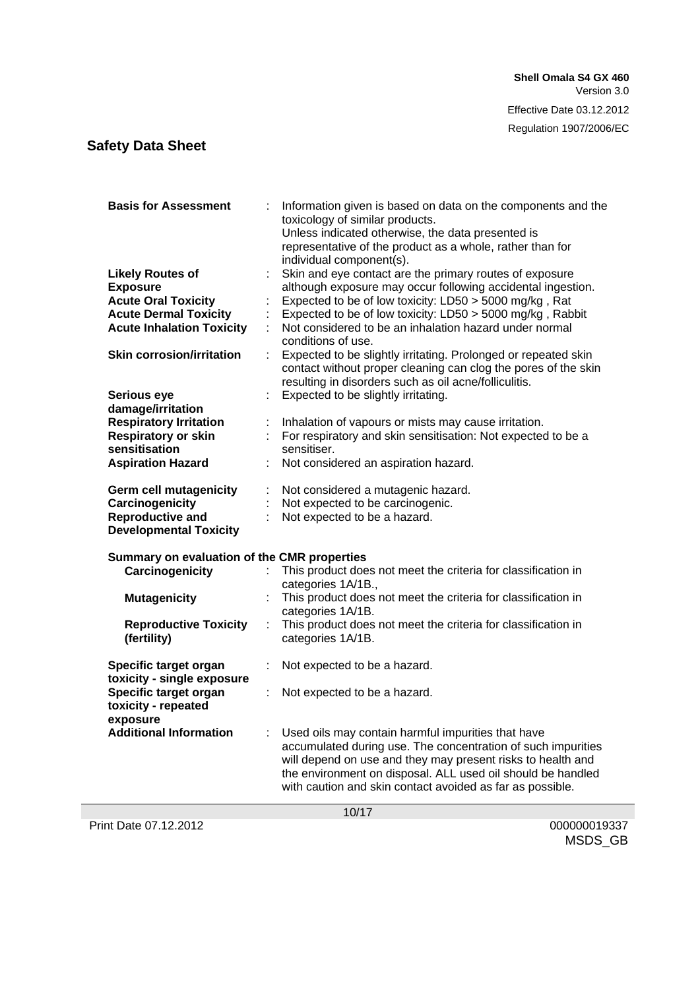| <b>Basis for Assessment</b>                 |    | Information given is based on data on the components and the<br>toxicology of similar products.<br>Unless indicated otherwise, the data presented is<br>representative of the product as a whole, rather than for<br>individual component(s).                                                                 |
|---------------------------------------------|----|---------------------------------------------------------------------------------------------------------------------------------------------------------------------------------------------------------------------------------------------------------------------------------------------------------------|
| <b>Likely Routes of</b>                     |    | Skin and eye contact are the primary routes of exposure                                                                                                                                                                                                                                                       |
| <b>Exposure</b>                             |    | although exposure may occur following accidental ingestion.                                                                                                                                                                                                                                                   |
| <b>Acute Oral Toxicity</b>                  |    | Expected to be of low toxicity: LD50 > 5000 mg/kg, Rat                                                                                                                                                                                                                                                        |
| <b>Acute Dermal Toxicity</b>                |    | Expected to be of low toxicity: LD50 > 5000 mg/kg, Rabbit                                                                                                                                                                                                                                                     |
| <b>Acute Inhalation Toxicity</b>            |    | Not considered to be an inhalation hazard under normal<br>conditions of use.                                                                                                                                                                                                                                  |
| <b>Skin corrosion/irritation</b>            |    | Expected to be slightly irritating. Prolonged or repeated skin<br>contact without proper cleaning can clog the pores of the skin<br>resulting in disorders such as oil acne/folliculitis.                                                                                                                     |
| Serious eye                                 |    | Expected to be slightly irritating.                                                                                                                                                                                                                                                                           |
| damage/irritation                           |    |                                                                                                                                                                                                                                                                                                               |
| <b>Respiratory Irritation</b>               |    | Inhalation of vapours or mists may cause irritation.                                                                                                                                                                                                                                                          |
| <b>Respiratory or skin</b>                  | t. | For respiratory and skin sensitisation: Not expected to be a                                                                                                                                                                                                                                                  |
| sensitisation                               |    | sensitiser.                                                                                                                                                                                                                                                                                                   |
| <b>Aspiration Hazard</b>                    |    | Not considered an aspiration hazard.                                                                                                                                                                                                                                                                          |
| <b>Germ cell mutagenicity</b>               |    | Not considered a mutagenic hazard.                                                                                                                                                                                                                                                                            |
| Carcinogenicity                             |    | Not expected to be carcinogenic.                                                                                                                                                                                                                                                                              |
| <b>Reproductive and</b>                     |    | Not expected to be a hazard.                                                                                                                                                                                                                                                                                  |
| <b>Developmental Toxicity</b>               |    |                                                                                                                                                                                                                                                                                                               |
| Summary on evaluation of the CMR properties |    |                                                                                                                                                                                                                                                                                                               |
| Carcinogenicity                             |    | This product does not meet the criteria for classification in                                                                                                                                                                                                                                                 |
|                                             |    | categories 1A/1B.,                                                                                                                                                                                                                                                                                            |
| <b>Mutagenicity</b>                         |    | This product does not meet the criteria for classification in                                                                                                                                                                                                                                                 |
|                                             |    | categories 1A/1B.                                                                                                                                                                                                                                                                                             |
| <b>Reproductive Toxicity</b>                |    | This product does not meet the criteria for classification in                                                                                                                                                                                                                                                 |
| (fertility)                                 |    | categories 1A/1B.                                                                                                                                                                                                                                                                                             |
| Specific target organ                       | t  | Not expected to be a hazard.                                                                                                                                                                                                                                                                                  |
| toxicity - single exposure                  |    |                                                                                                                                                                                                                                                                                                               |
| Specific target organ                       | ÷. | Not expected to be a hazard.                                                                                                                                                                                                                                                                                  |
| toxicity - repeated                         |    |                                                                                                                                                                                                                                                                                                               |
| exposure                                    |    |                                                                                                                                                                                                                                                                                                               |
| <b>Additional Information</b>               |    | Used oils may contain harmful impurities that have<br>accumulated during use. The concentration of such impurities<br>will depend on use and they may present risks to health and<br>the environment on disposal. ALL used oil should be handled<br>with caution and skin contact avoided as far as possible. |

Print Date 07.12.2012 000000019337

MSDS\_GB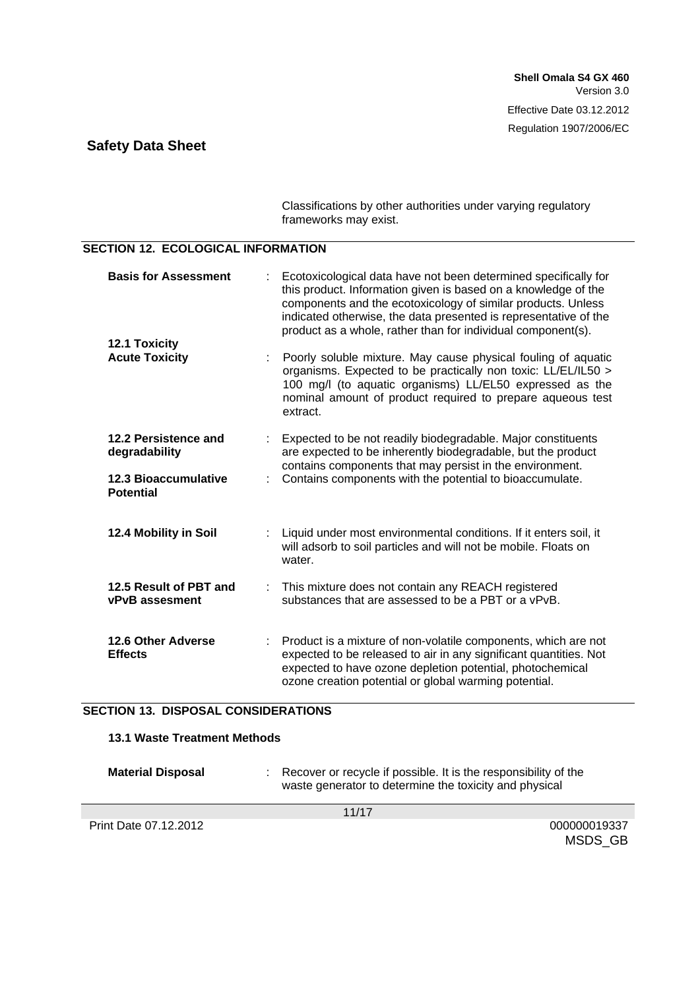Classifications by other authorities under varying regulatory frameworks may exist.

# **SECTION 12. ECOLOGICAL INFORMATION**

| <b>Basis for Assessment</b>                     | Ecotoxicological data have not been determined specifically for<br>this product. Information given is based on a knowledge of the<br>components and the ecotoxicology of similar products. Unless<br>indicated otherwise, the data presented is representative of the<br>product as a whole, rather than for individual component(s). |
|-------------------------------------------------|---------------------------------------------------------------------------------------------------------------------------------------------------------------------------------------------------------------------------------------------------------------------------------------------------------------------------------------|
| <b>12.1 Toxicity</b><br><b>Acute Toxicity</b>   | Poorly soluble mixture. May cause physical fouling of aquatic<br>organisms. Expected to be practically non toxic: LL/EL/IL50 ><br>100 mg/l (to aquatic organisms) LL/EL50 expressed as the<br>nominal amount of product required to prepare aqueous test<br>extract.                                                                  |
| 12.2 Persistence and<br>degradability           | Expected to be not readily biodegradable. Major constituents<br>are expected to be inherently biodegradable, but the product<br>contains components that may persist in the environment.                                                                                                                                              |
| <b>12.3 Bioaccumulative</b><br><b>Potential</b> | Contains components with the potential to bioaccumulate.                                                                                                                                                                                                                                                                              |
| 12.4 Mobility in Soil                           | Liquid under most environmental conditions. If it enters soil, it<br>will adsorb to soil particles and will not be mobile. Floats on<br>water.                                                                                                                                                                                        |
| 12.5 Result of PBT and<br><b>vPvB</b> assesment | This mixture does not contain any REACH registered<br>substances that are assessed to be a PBT or a vPvB.                                                                                                                                                                                                                             |
| 12.6 Other Adverse<br><b>Effects</b>            | Product is a mixture of non-volatile components, which are not<br>expected to be released to air in any significant quantities. Not<br>expected to have ozone depletion potential, photochemical<br>ozone creation potential or global warming potential.                                                                             |

#### **SECTION 13. DISPOSAL CONSIDERATIONS**

#### **13.1 Waste Treatment Methods**

| <b>Material Disposal</b> | Recover or recycle if possible. It is the responsibility of the |
|--------------------------|-----------------------------------------------------------------|
|                          | waste generator to determine the toxicity and physical          |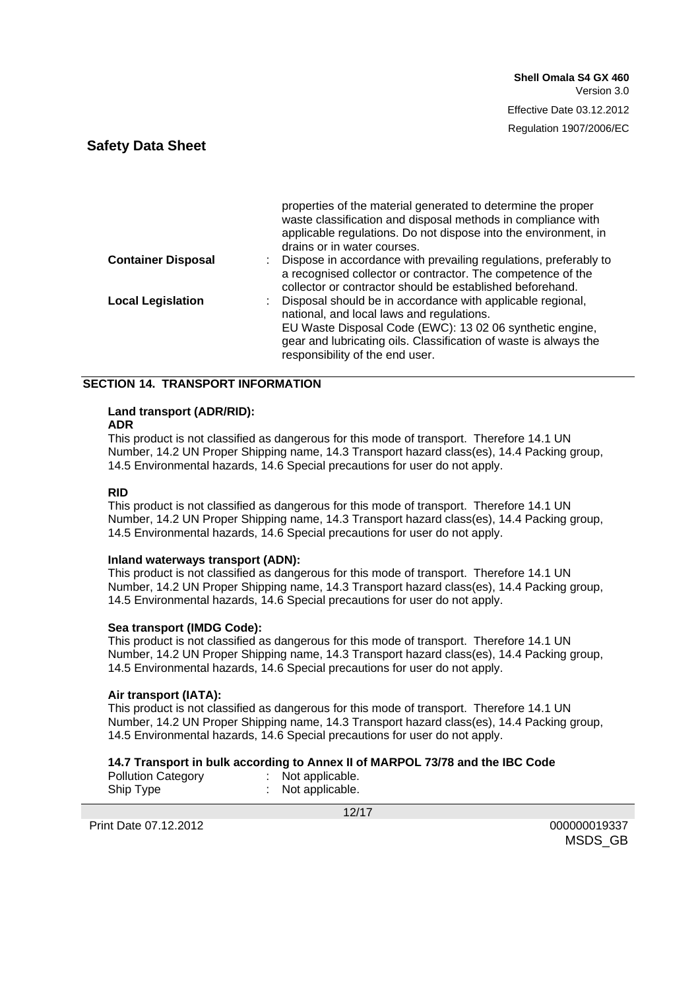|                           | properties of the material generated to determine the proper<br>waste classification and disposal methods in compliance with<br>applicable regulations. Do not dispose into the environment, in<br>drains or in water courses.                                             |
|---------------------------|----------------------------------------------------------------------------------------------------------------------------------------------------------------------------------------------------------------------------------------------------------------------------|
| <b>Container Disposal</b> | Dispose in accordance with prevailing regulations, preferably to<br>a recognised collector or contractor. The competence of the<br>collector or contractor should be established beforehand.                                                                               |
| <b>Local Legislation</b>  | Disposal should be in accordance with applicable regional,<br>national, and local laws and regulations.<br>EU Waste Disposal Code (EWC): 13 02 06 synthetic engine,<br>gear and lubricating oils. Classification of waste is always the<br>responsibility of the end user. |

## **SECTION 14. TRANSPORT INFORMATION**

#### **Land transport (ADR/RID):**

**ADR**

This product is not classified as dangerous for this mode of transport. Therefore 14.1 UN Number, 14.2 UN Proper Shipping name, 14.3 Transport hazard class(es), 14.4 Packing group, 14.5 Environmental hazards, 14.6 Special precautions for user do not apply.

#### **RID**

This product is not classified as dangerous for this mode of transport. Therefore 14.1 UN Number, 14.2 UN Proper Shipping name, 14.3 Transport hazard class(es), 14.4 Packing group, 14.5 Environmental hazards, 14.6 Special precautions for user do not apply.

#### **Inland waterways transport (ADN):**

This product is not classified as dangerous for this mode of transport. Therefore 14.1 UN Number, 14.2 UN Proper Shipping name, 14.3 Transport hazard class(es), 14.4 Packing group, 14.5 Environmental hazards, 14.6 Special precautions for user do not apply.

#### **Sea transport (IMDG Code):**

This product is not classified as dangerous for this mode of transport. Therefore 14.1 UN Number, 14.2 UN Proper Shipping name, 14.3 Transport hazard class(es), 14.4 Packing group, 14.5 Environmental hazards, 14.6 Special precautions for user do not apply.

#### **Air transport (IATA):**

This product is not classified as dangerous for this mode of transport. Therefore 14.1 UN Number, 14.2 UN Proper Shipping name, 14.3 Transport hazard class(es), 14.4 Packing group, 14.5 Environmental hazards, 14.6 Special precautions for user do not apply.

#### **14.7 Transport in bulk according to Annex II of MARPOL 73/78 and the IBC Code**

Pollution Category : Not applicable. Ship Type : Not applicable.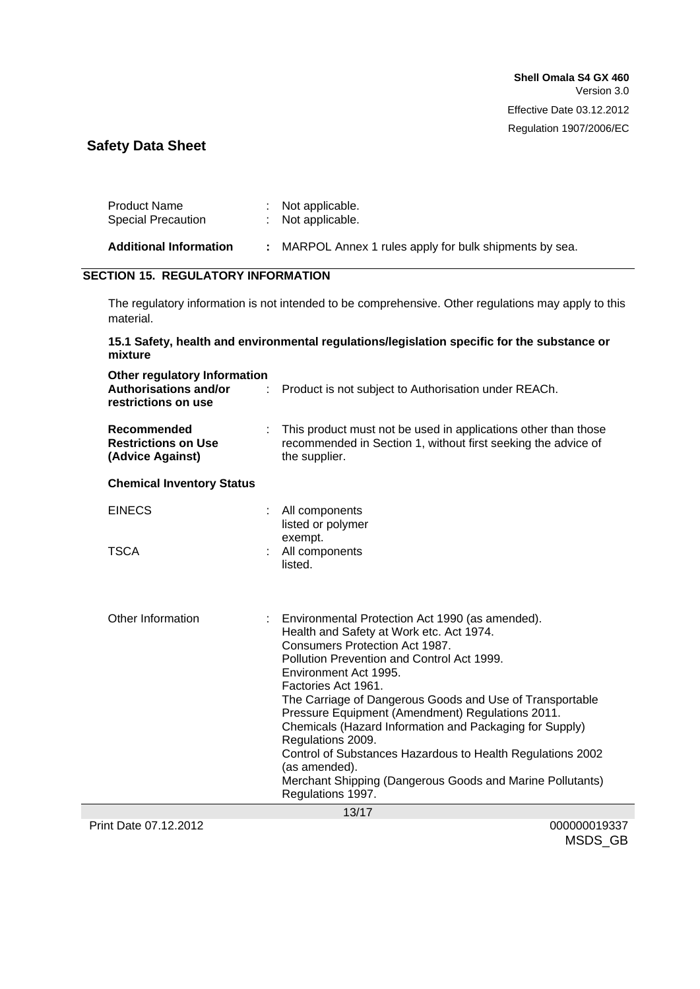| Product Name<br>Special Precaution | : Not applicable.<br>: Not applicable.                |
|------------------------------------|-------------------------------------------------------|
| <b>Additional Information</b>      | MARPOL Annex 1 rules apply for bulk shipments by sea. |

## **SECTION 15. REGULATORY INFORMATION**

The regulatory information is not intended to be comprehensive. Other regulations may apply to this material.

| 15.1 Safety, health and environmental regulations/legislation specific for the substance or |  |
|---------------------------------------------------------------------------------------------|--|
| mixture                                                                                     |  |

| Other regulatory Information<br><b>Authorisations and/or</b><br>restrictions on use | Product is not subject to Authorisation under REACh.                                                                                                                                                                                                                                                                                                                                                                                                                                                                                                                                         |  |
|-------------------------------------------------------------------------------------|----------------------------------------------------------------------------------------------------------------------------------------------------------------------------------------------------------------------------------------------------------------------------------------------------------------------------------------------------------------------------------------------------------------------------------------------------------------------------------------------------------------------------------------------------------------------------------------------|--|
| Recommended<br><b>Restrictions on Use</b><br>(Advice Against)                       | This product must not be used in applications other than those<br>recommended in Section 1, without first seeking the advice of<br>the supplier.                                                                                                                                                                                                                                                                                                                                                                                                                                             |  |
| <b>Chemical Inventory Status</b>                                                    |                                                                                                                                                                                                                                                                                                                                                                                                                                                                                                                                                                                              |  |
| <b>EINECS</b>                                                                       | All components<br>listed or polymer<br>exempt.                                                                                                                                                                                                                                                                                                                                                                                                                                                                                                                                               |  |
| <b>TSCA</b>                                                                         | All components<br>listed.                                                                                                                                                                                                                                                                                                                                                                                                                                                                                                                                                                    |  |
| Other Information<br>t.                                                             | Environmental Protection Act 1990 (as amended).<br>Health and Safety at Work etc. Act 1974.<br>Consumers Protection Act 1987.<br>Pollution Prevention and Control Act 1999.<br>Environment Act 1995.<br>Factories Act 1961.<br>The Carriage of Dangerous Goods and Use of Transportable<br>Pressure Equipment (Amendment) Regulations 2011.<br>Chemicals (Hazard Information and Packaging for Supply)<br>Regulations 2009.<br>Control of Substances Hazardous to Health Regulations 2002<br>(as amended).<br>Merchant Shipping (Dangerous Goods and Marine Pollutants)<br>Regulations 1997. |  |
| 13/17                                                                               |                                                                                                                                                                                                                                                                                                                                                                                                                                                                                                                                                                                              |  |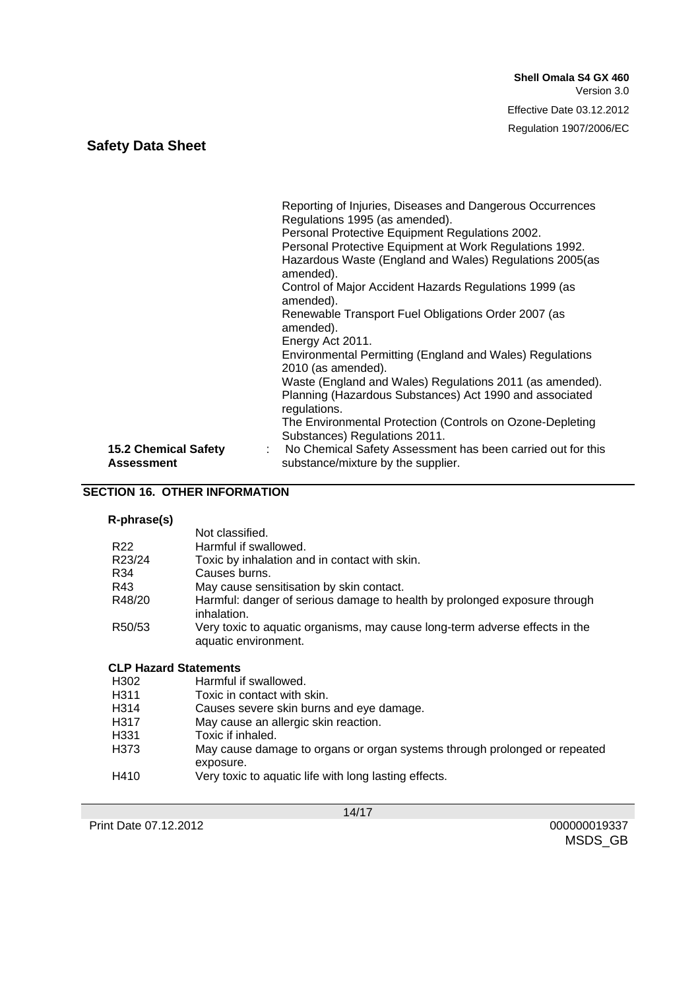|                             | Reporting of Injuries, Diseases and Dangerous Occurrences<br>Regulations 1995 (as amended).<br>Personal Protective Equipment Regulations 2002.<br>Personal Protective Equipment at Work Regulations 1992.<br>Hazardous Waste (England and Wales) Regulations 2005 (as<br>amended).<br>Control of Major Accident Hazards Regulations 1999 (as<br>amended).<br>Renewable Transport Fuel Obligations Order 2007 (as<br>amended).<br>Energy Act 2011.<br>Environmental Permitting (England and Wales) Regulations<br>2010 (as amended).<br>Waste (England and Wales) Regulations 2011 (as amended).<br>Planning (Hazardous Substances) Act 1990 and associated<br>regulations.<br>The Environmental Protection (Controls on Ozone-Depleting |
|-----------------------------|-----------------------------------------------------------------------------------------------------------------------------------------------------------------------------------------------------------------------------------------------------------------------------------------------------------------------------------------------------------------------------------------------------------------------------------------------------------------------------------------------------------------------------------------------------------------------------------------------------------------------------------------------------------------------------------------------------------------------------------------|
| <b>15.2 Chemical Safety</b> | Substances) Regulations 2011.                                                                                                                                                                                                                                                                                                                                                                                                                                                                                                                                                                                                                                                                                                           |
| ÷                           | No Chemical Safety Assessment has been carried out for this                                                                                                                                                                                                                                                                                                                                                                                                                                                                                                                                                                                                                                                                             |
| <b>Assessment</b>           | substance/mixture by the supplier.                                                                                                                                                                                                                                                                                                                                                                                                                                                                                                                                                                                                                                                                                                      |

#### **SECTION 16. OTHER INFORMATION**

#### **R-phrase(s)**

|        | Not classified.                                                                                     |
|--------|-----------------------------------------------------------------------------------------------------|
| R22    | Harmful if swallowed.                                                                               |
| R23/24 | Toxic by inhalation and in contact with skin.                                                       |
| R34    | Causes burns.                                                                                       |
| R43    | May cause sensitisation by skin contact.                                                            |
| R48/20 | Harmful: danger of serious damage to health by prolonged exposure through<br>inhalation.            |
| R50/53 | Very toxic to aquatic organisms, may cause long-term adverse effects in the<br>aquatic environment. |

# **CLP Hazard Statements**

- Harmful if swallowed.
- H311 Toxic in contact with skin.
- H314 Causes severe skin burns and eye damage.
- H317 May cause an allergic skin reaction.
- H331 Toxic if inhaled.
- H373 May cause damage to organs or organ systems through prolonged or repeated exposure.
- H410 Very toxic to aquatic life with long lasting effects.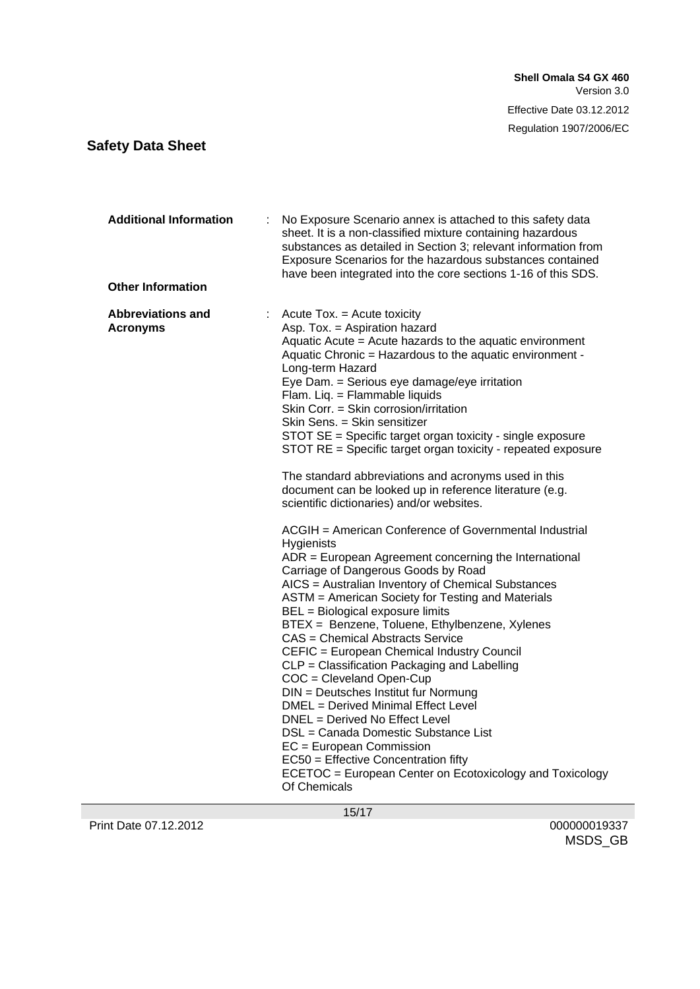| <b>Additional Information</b><br><b>Other Information</b> | No Exposure Scenario annex is attached to this safety data<br>sheet. It is a non-classified mixture containing hazardous<br>substances as detailed in Section 3; relevant information from<br>Exposure Scenarios for the hazardous substances contained<br>have been integrated into the core sections 1-16 of this SDS.                                                                                                                                                                                                                                                                                                                                                                                                                                                                                                                                                                                                                                                                                                                                                                                                                                                                                                                                                                                                                                                                                                                                                                                              |
|-----------------------------------------------------------|-----------------------------------------------------------------------------------------------------------------------------------------------------------------------------------------------------------------------------------------------------------------------------------------------------------------------------------------------------------------------------------------------------------------------------------------------------------------------------------------------------------------------------------------------------------------------------------------------------------------------------------------------------------------------------------------------------------------------------------------------------------------------------------------------------------------------------------------------------------------------------------------------------------------------------------------------------------------------------------------------------------------------------------------------------------------------------------------------------------------------------------------------------------------------------------------------------------------------------------------------------------------------------------------------------------------------------------------------------------------------------------------------------------------------------------------------------------------------------------------------------------------------|
| Abbreviations and<br><b>Acronyms</b>                      | Acute $Tox = Acute$ toxicity<br>Asp. Tox. = Aspiration hazard<br>Aquatic Acute = Acute hazards to the aquatic environment<br>Aquatic Chronic = Hazardous to the aquatic environment -<br>Long-term Hazard<br>Eye Dam. = Serious eye damage/eye irritation<br>Flam. Liq. = Flammable liquids<br>Skin Corr. = Skin corrosion/irritation<br>Skin Sens. = Skin sensitizer<br>STOT SE = Specific target organ toxicity - single exposure<br>STOT RE = Specific target organ toxicity - repeated exposure<br>The standard abbreviations and acronyms used in this<br>document can be looked up in reference literature (e.g.<br>scientific dictionaries) and/or websites.<br>ACGIH = American Conference of Governmental Industrial<br>Hygienists<br>ADR = European Agreement concerning the International<br>Carriage of Dangerous Goods by Road<br>AICS = Australian Inventory of Chemical Substances<br>ASTM = American Society for Testing and Materials<br>BEL = Biological exposure limits<br>BTEX = Benzene, Toluene, Ethylbenzene, Xylenes<br>CAS = Chemical Abstracts Service<br>CEFIC = European Chemical Industry Council<br>CLP = Classification Packaging and Labelling<br>COC = Cleveland Open-Cup<br>DIN = Deutsches Institut fur Normung<br>DMEL = Derived Minimal Effect Level<br>DNEL = Derived No Effect Level<br>DSL = Canada Domestic Substance List<br>$EC = European Commission$<br>EC50 = Effective Concentration fifty<br>ECETOC = European Center on Ecotoxicology and Toxicology<br>Of Chemicals |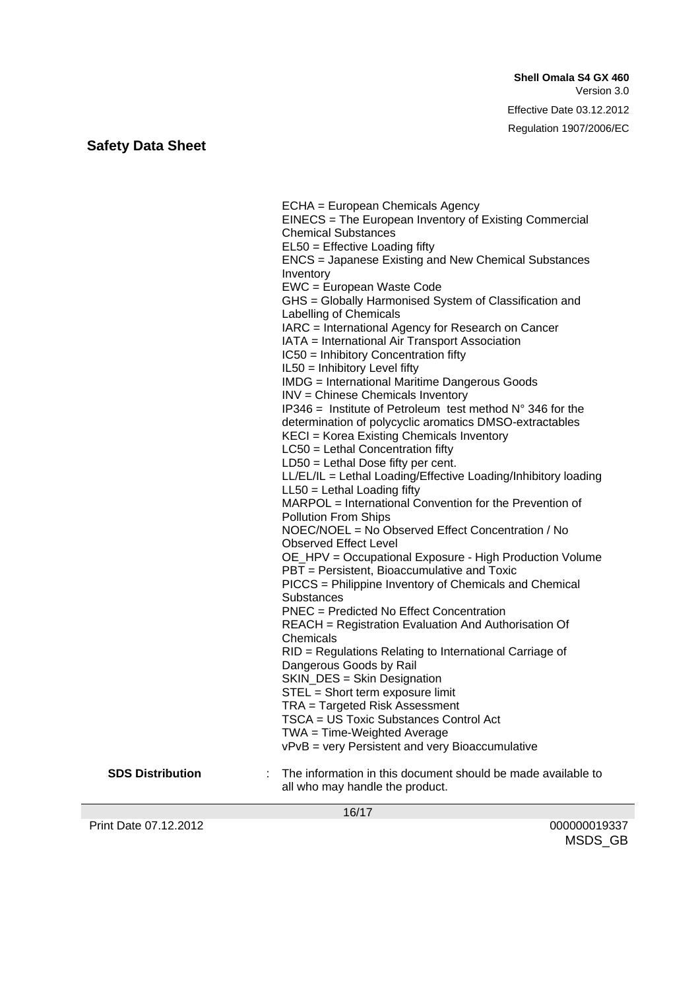Regulation 1907/2006/EC

# **Safety Data Sheet**

| <b>SDS Distribution</b> | ECHA = European Chemicals Agency<br>EINECS = The European Inventory of Existing Commercial<br><b>Chemical Substances</b><br>EL50 = Effective Loading fifty<br>ENCS = Japanese Existing and New Chemical Substances<br>Inventory<br>EWC = European Waste Code<br>GHS = Globally Harmonised System of Classification and<br>Labelling of Chemicals<br>IARC = International Agency for Research on Cancer<br>IATA = International Air Transport Association<br>IC50 = Inhibitory Concentration fifty<br>$IL50 = Inhibitory Level fifty$<br><b>IMDG</b> = International Maritime Dangerous Goods<br>INV = Chinese Chemicals Inventory<br>IP346 = Institute of Petroleum test method $N^{\circ}$ 346 for the<br>determination of polycyclic aromatics DMSO-extractables<br>KECI = Korea Existing Chemicals Inventory<br>LC50 = Lethal Concentration fifty<br>$LD50 = Lethal Does fifty per cent.$<br>LL/EL/IL = Lethal Loading/Effective Loading/Inhibitory loading<br>$LL50 = Lethal$ Loading fifty<br>MARPOL = International Convention for the Prevention of<br><b>Pollution From Ships</b><br>NOEC/NOEL = No Observed Effect Concentration / No<br><b>Observed Effect Level</b><br>OE_HPV = Occupational Exposure - High Production Volume<br>PBT = Persistent, Bioaccumulative and Toxic<br>PICCS = Philippine Inventory of Chemicals and Chemical<br><b>Substances</b><br><b>PNEC</b> = Predicted No Effect Concentration<br><b>REACH</b> = Registration Evaluation And Authorisation Of<br>Chemicals<br>RID = Regulations Relating to International Carriage of<br>Dangerous Goods by Rail<br>SKIN_DES = Skin Designation<br>STEL = Short term exposure limit<br>TRA = Targeted Risk Assessment<br>TSCA = US Toxic Substances Control Act<br>TWA = Time-Weighted Average<br>vPvB = very Persistent and very Bioaccumulative<br>The information in this document should be made available to |
|-------------------------|-----------------------------------------------------------------------------------------------------------------------------------------------------------------------------------------------------------------------------------------------------------------------------------------------------------------------------------------------------------------------------------------------------------------------------------------------------------------------------------------------------------------------------------------------------------------------------------------------------------------------------------------------------------------------------------------------------------------------------------------------------------------------------------------------------------------------------------------------------------------------------------------------------------------------------------------------------------------------------------------------------------------------------------------------------------------------------------------------------------------------------------------------------------------------------------------------------------------------------------------------------------------------------------------------------------------------------------------------------------------------------------------------------------------------------------------------------------------------------------------------------------------------------------------------------------------------------------------------------------------------------------------------------------------------------------------------------------------------------------------------------------------------------------------------------------------------------------------------------------------------------------------------|
|                         | all who may handle the product.                                                                                                                                                                                                                                                                                                                                                                                                                                                                                                                                                                                                                                                                                                                                                                                                                                                                                                                                                                                                                                                                                                                                                                                                                                                                                                                                                                                                                                                                                                                                                                                                                                                                                                                                                                                                                                                               |